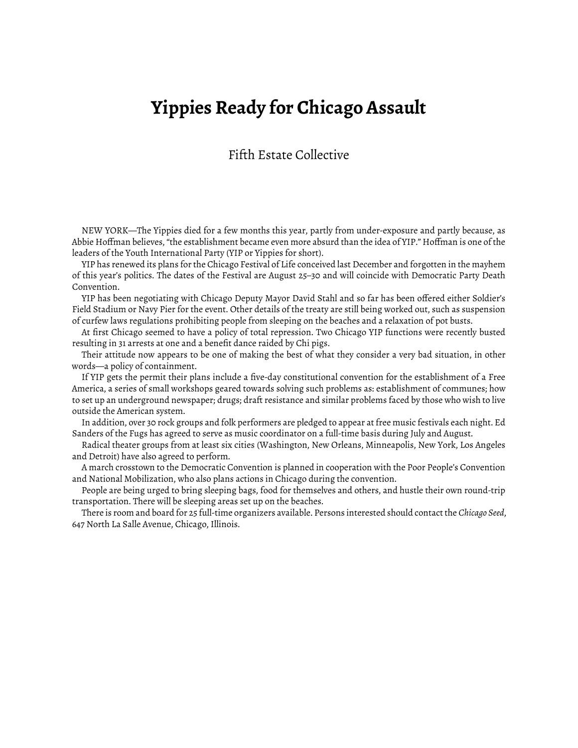## **Yippies Ready for Chicago Assault**

## Fifth Estate Collective

NEW YORK—The Yippies died for a few months this year, partly from under-exposure and partly because, as Abbie Hoffman believes, "the establishment became even more absurd than the idea of YIP." Hoffman is one of the leaders of the Youth International Party (YIP or Yippies for short).

YIP has renewed its plans for the Chicago Festival of Life conceived last December and forgotten in the mayhem of this year's politics. The dates of the Festival are August 25–30 and will coincide with Democratic Party Death Convention.

YIP has been negotiating with Chicago Deputy Mayor David Stahl and so far has been offered either Soldier's Field Stadium or Navy Pier for the event. Other details of the treaty are still being worked out, such as suspension of curfew laws regulations prohibiting people from sleeping on the beaches and a relaxation of pot busts.

At first Chicago seemed to have a policy of total repression. Two Chicago YIP functions were recently busted resulting in 31 arrests at one and a benefit dance raided by Chi pigs.

Their attitude now appears to be one of making the best of what they consider a very bad situation, in other words—a policy of containment.

If YIP gets the permit their plans include a five-day constitutional convention for the establishment of a Free America, a series of small workshops geared towards solving such problems as: establishment of communes; how to set up an underground newspaper; drugs; draft resistance and similar problems faced by those who wish to live outside the American system.

In addition, over 30 rock groups and folk performers are pledged to appear at free music festivals each night. Ed Sanders of the Fugs has agreed to serve as music coordinator on a full-time basis during July and August.

Radical theater groups from at least six cities (Washington, New Orleans, Minneapolis, New York, Los Angeles and Detroit) have also agreed to perform.

A march crosstown to the Democratic Convention is planned in cooperation with the Poor People's Convention and National Mobilization, who also plans actions in Chicago during the convention.

People are being urged to bring sleeping bags, food for themselves and others, and hustle their own round-trip transportation. There will be sleeping areas set up on the beaches.

There is room and board for 25 full-time organizers available. Persons interested should contact the *Chicago Seed*, 647 North La Salle Avenue, Chicago, Illinois.